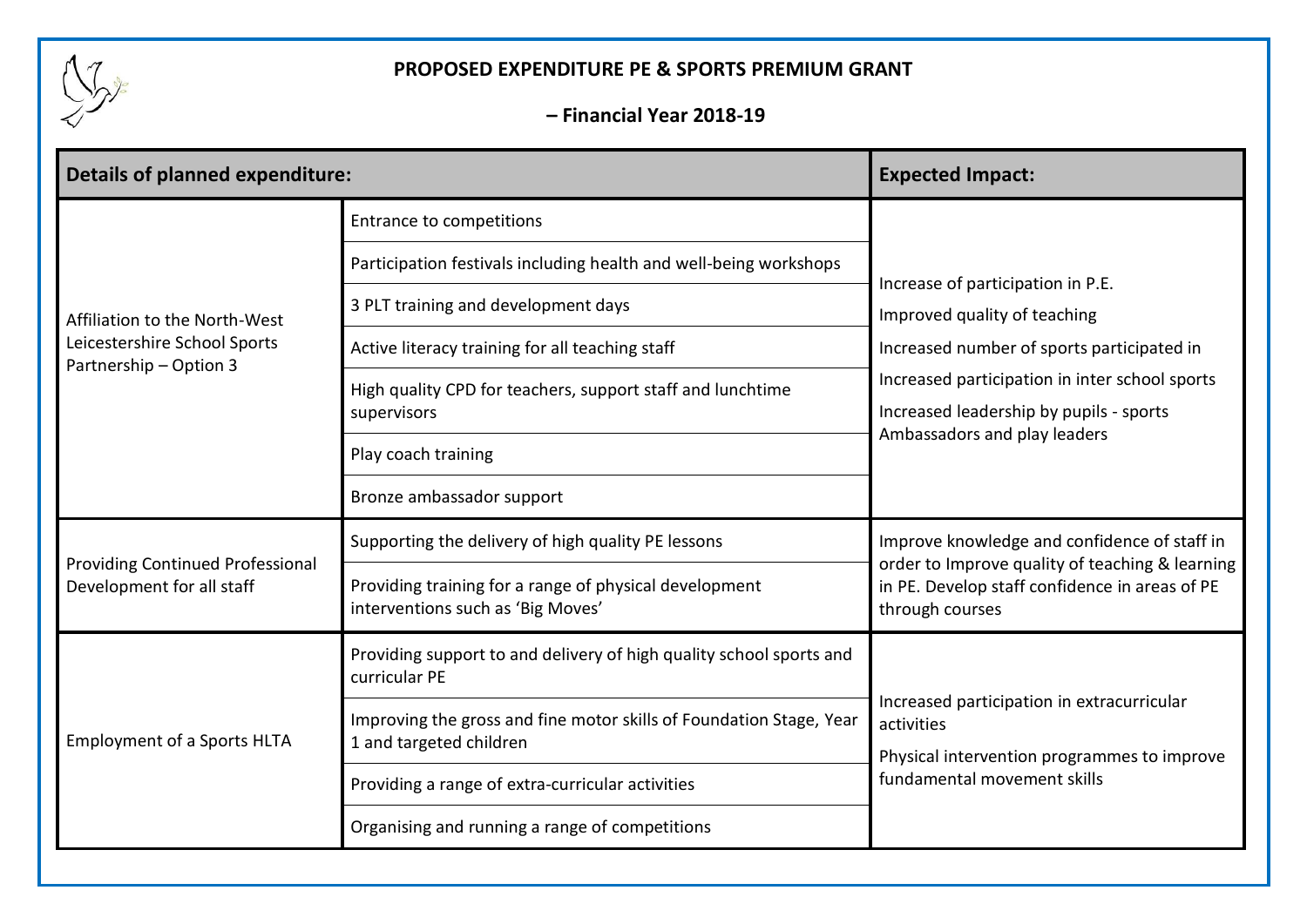

## **PROPOSED EXPENDITURE PE & SPORTS PREMIUM GRANT**

**– Financial Year 2018-19**

| <b>Details of planned expenditure:</b>                                                  |                                                                                                | <b>Expected Impact:</b>                                                                                                                                                                                                                      |
|-----------------------------------------------------------------------------------------|------------------------------------------------------------------------------------------------|----------------------------------------------------------------------------------------------------------------------------------------------------------------------------------------------------------------------------------------------|
| Affiliation to the North-West<br>Leicestershire School Sports<br>Partnership - Option 3 | <b>Entrance to competitions</b>                                                                | Increase of participation in P.E.<br>Improved quality of teaching<br>Increased number of sports participated in<br>Increased participation in inter school sports<br>Increased leadership by pupils - sports<br>Ambassadors and play leaders |
|                                                                                         | Participation festivals including health and well-being workshops                              |                                                                                                                                                                                                                                              |
|                                                                                         | 3 PLT training and development days                                                            |                                                                                                                                                                                                                                              |
|                                                                                         | Active literacy training for all teaching staff                                                |                                                                                                                                                                                                                                              |
|                                                                                         | High quality CPD for teachers, support staff and lunchtime<br>supervisors                      |                                                                                                                                                                                                                                              |
|                                                                                         | Play coach training                                                                            |                                                                                                                                                                                                                                              |
|                                                                                         | Bronze ambassador support                                                                      |                                                                                                                                                                                                                                              |
| <b>Providing Continued Professional</b><br>Development for all staff                    | Supporting the delivery of high quality PE lessons                                             | Improve knowledge and confidence of staff in<br>order to Improve quality of teaching & learning<br>in PE. Develop staff confidence in areas of PE<br>through courses                                                                         |
|                                                                                         | Providing training for a range of physical development<br>interventions such as 'Big Moves'    |                                                                                                                                                                                                                                              |
| <b>Employment of a Sports HLTA</b>                                                      | Providing support to and delivery of high quality school sports and<br>curricular PE           | Increased participation in extracurricular<br>activities<br>Physical intervention programmes to improve<br>fundamental movement skills                                                                                                       |
|                                                                                         | Improving the gross and fine motor skills of Foundation Stage, Year<br>1 and targeted children |                                                                                                                                                                                                                                              |
|                                                                                         | Providing a range of extra-curricular activities                                               |                                                                                                                                                                                                                                              |
|                                                                                         | Organising and running a range of competitions                                                 |                                                                                                                                                                                                                                              |